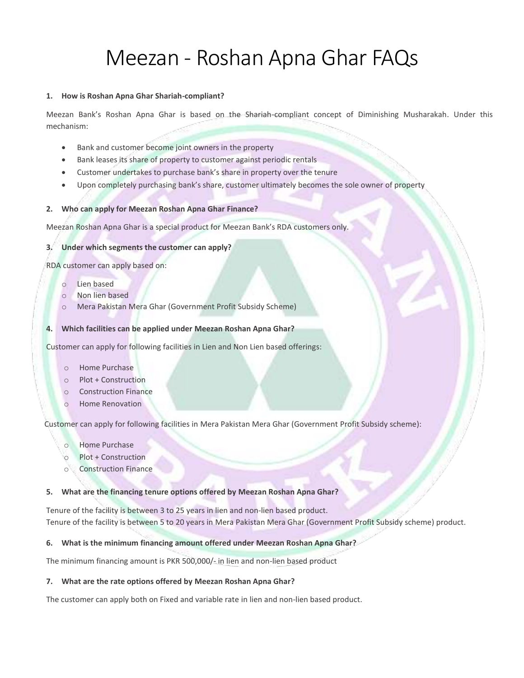# Meezan - Roshan Apna Ghar FAQs

#### **1. How is Roshan Apna Ghar Shariah-compliant?**

Meezan Bank's Roshan Apna Ghar is based on the Shariah-compliant concept of Diminishing Musharakah. Under this mechanism:

- Bank and customer become joint owners in the property
- Bank leases its share of property to customer against periodic rentals
- Customer undertakes to purchase bank's share in property over the tenure
- Upon completely purchasing bank's share, customer ultimately becomes the sole owner of property

#### **2. Who can apply for Meezan Roshan Apna Ghar Finance?**

Meezan Roshan Apna Ghar is a special product for Meezan Bank's RDA customers only.

#### **3. Under which segments the customer can apply?**

RDA customer can apply based on:

- o Lien based
- o Non lien based
- o Mera Pakistan Mera Ghar (Government Profit Subsidy Scheme)

#### **4. Which facilities can be applied under Meezan Roshan Apna Ghar?**

Customer can apply for following facilities in Lien and Non Lien based offerings:

- o Home Purchase
- o Plot + Construction
- o Construction Finance
- Home Renovation

Customer can apply for following facilities in Mera Pakistan Mera Ghar (Government Profit Subsidy scheme):

- o Home Purchase
- o Plot + Construction
- o Construction Finance

#### **5. What are the financing tenure options offered by Meezan Roshan Apna Ghar?**

Tenure of the facility is between 3 to 25 years in lien and non-lien based product. Tenure of the facility is between 5 to 20 years in Mera Pakistan Mera Ghar (Government Profit Subsidy scheme) product.

#### **6. What is the minimum financing amount offered under Meezan Roshan Apna Ghar?**

The minimum financing amount is PKR 500,000/- in lien and non-lien based product

#### **7. What are the rate options offered by Meezan Roshan Apna Ghar?**

The customer can apply both on Fixed and variable rate in lien and non-lien based product.